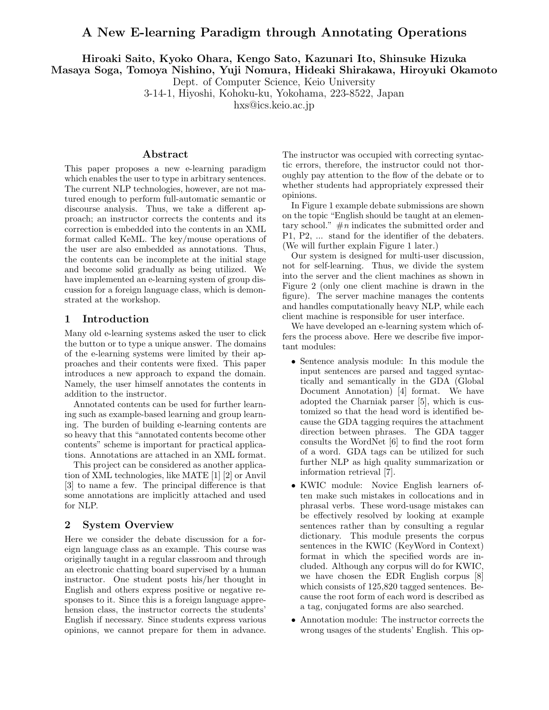# A New E-learning Paradigm through Annotating Operations

Hiroaki Saito, Kyoko Ohara, Kengo Sato, Kazunari Ito, Shinsuke Hizuka

Masaya Soga, Tomoya Nishino, Yuji Nomura, Hideaki Shirakawa, Hiroyuki Okamoto

Dept. of Computer Science, Keio University

3-14-1, Hiyoshi, Kohoku-ku, Yokohama, 223-8522, Japan

hxs@ics.keio.ac.jp

### Abstract

This paper proposes a new e-learning paradigm which enables the user to type in arbitrary sentences. The current NLP technologies, however, are not matured enough to perform full-automatic semantic or discourse analysis. Thus, we take a different approach; an instructor corrects the contents and its correction is embedded into the contents in an XML format called KeML. The key/mouse operations of the user are also embedded as annotations. Thus, the contents can be incomplete at the initial stage and become solid gradually as being utilized. We have implemented an e-learning system of group discussion for a foreign language class, which is demonstrated at the workshop.

### 1 Introduction

Many old e-learning systems asked the user to click the button or to type a unique answer. The domains of the e-learning systems were limited by their approaches and their contents were fixed. This paper introduces a new approach to expand the domain. Namely, the user himself annotates the contents in addition to the instructor.

Annotated contents can be used for further learning such as example-based learning and group learning. The burden of building e-learning contents are so heavy that this "annotated contents become other contents" scheme is important for practical applications. Annotations are attached in an XML format.

This project can be considered as another application of XML technologies, like MATE [1] [2] or Anvil [3] to name a few. The principal difference is that some annotations are implicitly attached and used for NLP.

### 2 System Overview

Here we consider the debate discussion for a foreign language class as an example. This course was originally taught in a regular classroom and through an electronic chatting board supervised by a human instructor. One student posts his/her thought in English and others express positive or negative responses to it. Since this is a foreign language apprehension class, the instructor corrects the students' English if necessary. Since students express various opinions, we cannot prepare for them in advance. The instructor was occupied with correcting syntactic errors, therefore, the instructor could not thoroughly pay attention to the flow of the debate or to whether students had appropriately expressed their opinions.

In Figure 1 example debate submissions are shown on the topic "English should be taught at an elementary school."  $\#n$  indicates the submitted order and P1, P2, ... stand for the identifier of the debaters. (We will further explain Figure 1 later.)

Our system is designed for multi-user discussion, not for self-learning. Thus, we divide the system into the server and the client machines as shown in Figure 2 (only one client machine is drawn in the figure). The server machine manages the contents and handles computationally heavy NLP, while each client machine is responsible for user interface.

We have developed an e-learning system which offers the process above. Here we describe five important modules:

- Sentence analysis module: In this module the input sentences are parsed and tagged syntactically and semantically in the GDA (Global Document Annotation) [4] format. We have adopted the Charniak parser [5], which is customized so that the head word is identified because the GDA tagging requires the attachment direction between phrases. The GDA tagger consults the WordNet [6] to find the root form of a word. GDA tags can be utilized for such further NLP as high quality summarization or information retrieval [7].
- KWIC module: Novice English learners often make such mistakes in collocations and in phrasal verbs. These word-usage mistakes can be effectively resolved by looking at example sentences rather than by consulting a regular dictionary. This module presents the corpus sentences in the KWIC (KeyWord in Context) format in which the specified words are included. Although any corpus will do for KWIC, we have chosen the EDR English corpus [8] which consists of 125,820 tagged sentences. Because the root form of each word is described as a tag, conjugated forms are also searched.
- Annotation module: The instructor corrects the wrong usages of the students' English. This op-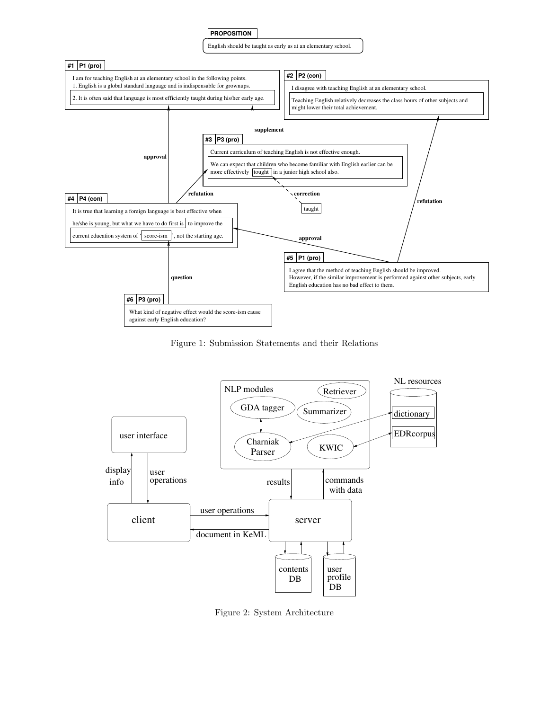

Figure 1: Submission Statements and their Relations



Figure 2: System Architecture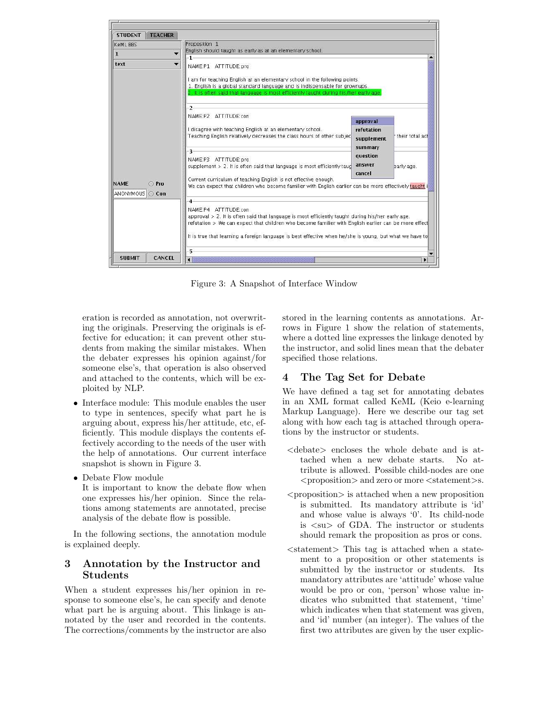

Figure 3: A Snapshot of Interface Window

eration is recorded as annotation, not overwriting the originals. Preserving the originals is effective for education; it can prevent other students from making the similar mistakes. When the debater expresses his opinion against/for someone else's, that operation is also observed and attached to the contents, which will be exploited by NLP.

- Interface module: This module enables the user to type in sentences, specify what part he is arguing about, express his/her attitude, etc, efficiently. This module displays the contents effectively according to the needs of the user with the help of annotations. Our current interface snapshot is shown in Figure 3.
- Debate Flow module

It is important to know the debate flow when one expresses his/her opinion. Since the relations among statements are annotated, precise analysis of the debate flow is possible.

In the following sections, the annotation module is explained deeply.

## 3 Annotation by the Instructor and Students

When a student expresses his/her opinion in response to someone else's, he can specify and denote what part he is arguing about. This linkage is annotated by the user and recorded in the contents. The corrections/comments by the instructor are also stored in the learning contents as annotations. Arrows in Figure 1 show the relation of statements, where a dotted line expresses the linkage denoted by the instructor, and solid lines mean that the debater specified those relations.

# 4 The Tag Set for Debate

We have defined a tag set for annotating debates in an XML format called KeML (Keio e-learning Markup Language). Here we describe our tag set along with how each tag is attached through operations by the instructor or students.

- <debate> encloses the whole debate and is attached when a new debate starts. No attribute is allowed. Possible child-nodes are one <proposition> and zero or more <statement>s.
- $\langle$  ortails  $\rangle$  is attached when a new proposition is submitted. Its mandatory attribute is 'id' and whose value is always '0'. Its child-node is <su> of GDA. The instructor or students should remark the proposition as pros or cons.
- $\leq$ statement $>$  This tag is attached when a statement to a proposition or other statements is submitted by the instructor or students. Its mandatory attributes are 'attitude' whose value would be pro or con, 'person' whose value indicates who submitted that statement, 'time' which indicates when that statement was given, and 'id' number (an integer). The values of the first two attributes are given by the user explic-